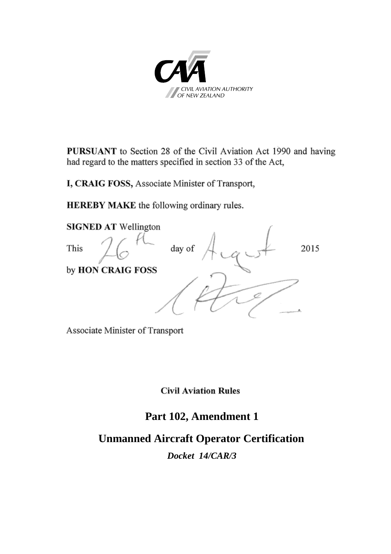

**PURSUANT** to Section 28 of the Civil Aviation Act 1990 and having had regard to the matters specified in section 33 of the Act,

I, CRAIG FOSS, Associate Minister of Transport,

HEREBY MAKE the following ordinary rules.



Associate Minister of Transport

**Civil Aviation Rules** 

# **Part 102, Amendment 1**

# **Unmanned Aircraft Operator Certification**

*Docket 14/CAR/3*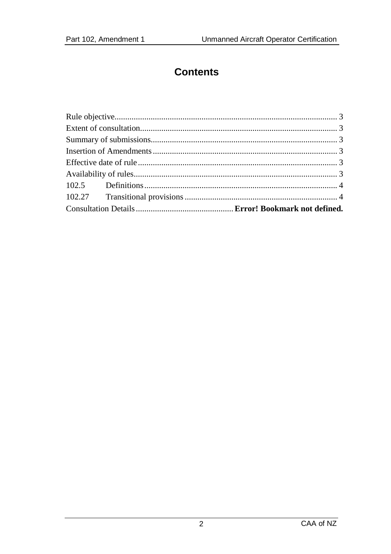# **Contents**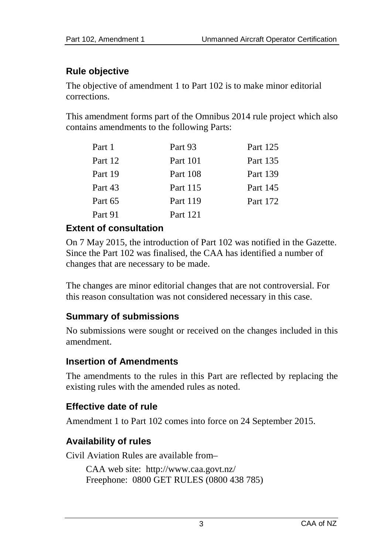### **Rule objective**

The objective of amendment 1 to Part 102 is to make minor editorial corrections.

This amendment forms part of the Omnibus 2014 rule project which also contains amendments to the following Parts:

| Part 1  | Part 93         | Part 125 |
|---------|-----------------|----------|
| Part 12 | <b>Part 101</b> | Part 135 |
| Part 19 | Part 108        | Part 139 |
| Part 43 | Part 115        | Part 145 |
| Part 65 | Part 119        | Part 172 |
| Part 91 | Part 121        |          |

#### **Extent of consultation**

On 7 May 2015, the introduction of Part 102 was notified in the Gazette. Since the Part 102 was finalised, the CAA has identified a number of changes that are necessary to be made.

The changes are minor editorial changes that are not controversial. For this reason consultation was not considered necessary in this case.

### **Summary of submissions**

No submissions were sought or received on the changes included in this amendment.

### **Insertion of Amendments**

The amendments to the rules in this Part are reflected by replacing the existing rules with the amended rules as noted.

### **Effective date of rule**

Amendment 1 to Part 102 comes into force on 24 September 2015.

## **Availability of rules**

Civil Aviation Rules are available from–

CAA web site:<http://www.caa.govt.nz/> Freephone: 0800 GET RULES (0800 438 785)